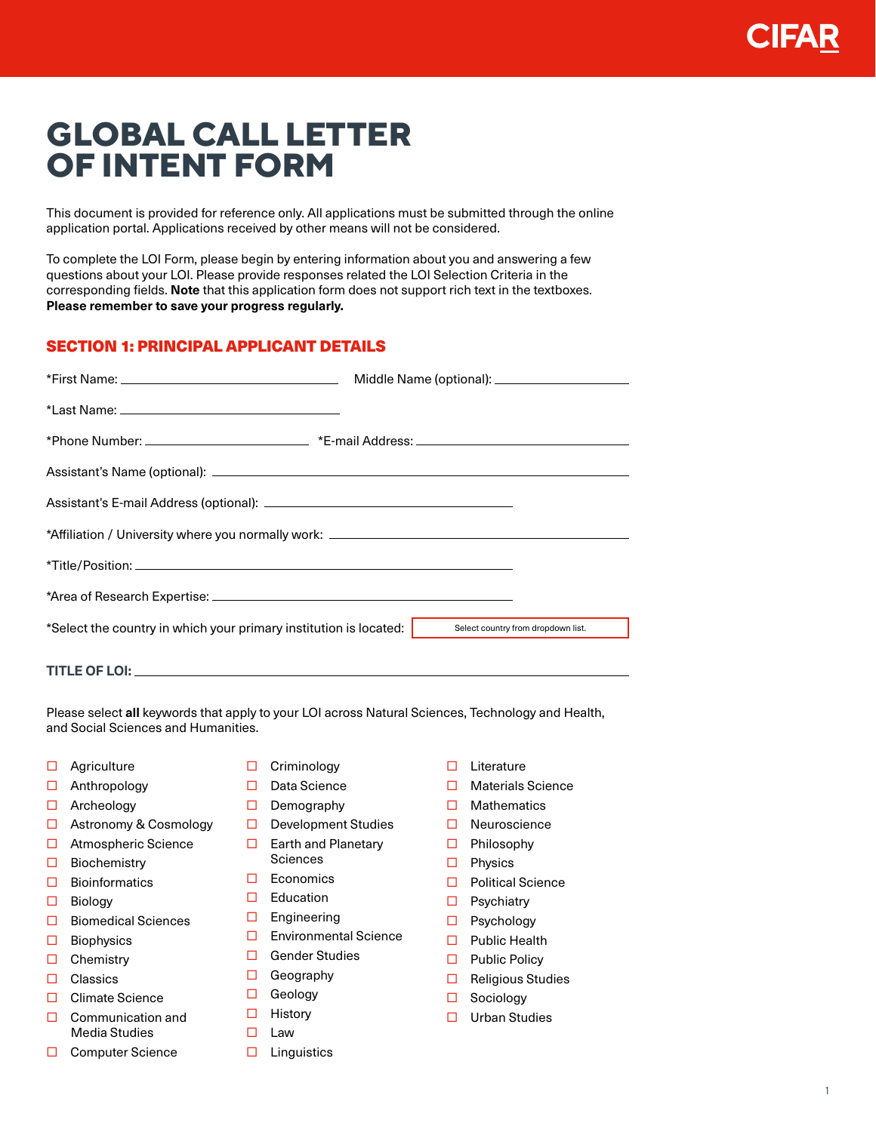# **GLOBAL CALL LETTER OF INTENT FORM**

This document is provided for reference only. All applications must be submitted through the online application portal. Applications received by other means will not be considered.

To complete the LOI Form, please begin by entering information about you and answering a few questions about your LOI. Please provide responses related the LOI Selection Criteria in the corresponding fields. **Note** that this application form does not support rich text in the textboxes. **Please remember to save your progress regularly.**

## SECTION 1: PRINCIPAL APPLICANT DETAILS

| *Affiliation / University where you normally work: ______________________________ |                                    |  |
|-----------------------------------------------------------------------------------|------------------------------------|--|
|                                                                                   |                                    |  |
|                                                                                   |                                    |  |
| *Select the country in which your primary institution is located:                 | Select country from dropdown list. |  |
|                                                                                   |                                    |  |

Please select **all** keywords that apply to your LOI across Natural Sciences, Technology and Health,

- $\Box$  Agriculture
- □ Anthropology

**TITLE OF LOI:** 

- □ Archeology
- □ Astronomy & Cosmology

and Social Sciences and Humanities.

- □ Atmospheric Science
- $\square$  Biochemistry
- $\square$  Bioinformatics
- □ Biology
- $\Box$  Biomedical Sciences
- $\Box$  Biophysics
- □ Chemistry
- □ Classics
- □ Climate Science
- $\Box$  Communication and Media Studies
- □ Computer Science
- $\Box$  Criminology
- Data Science
- $\Box$  Demography
- $\Box$  Development Studies
- $\Box$  Earth and Planetary **Sciences**
- $\Box$  Economics
- $\square$  Education
- $\square$  Engineering
- Environmental Science
- □ Gender Studies
- □ Geography
- □ Geology
- $\Box$  History
- $\Box$  Law
- $\Box$  Linguistics
- $\Pi$  Literature
- □ Materials Science
- $\Box$  Mathematics
- □ Neuroscience
- □ Philosophy
- $\Box$  Physics
- □ Political Science
- $\square$  Psychiatry
- □ Psychology
- □ Public Health
- $\Box$  Public Policy
- $\Box$  Religious Studies
- □ Sociology
- □ Urban Studies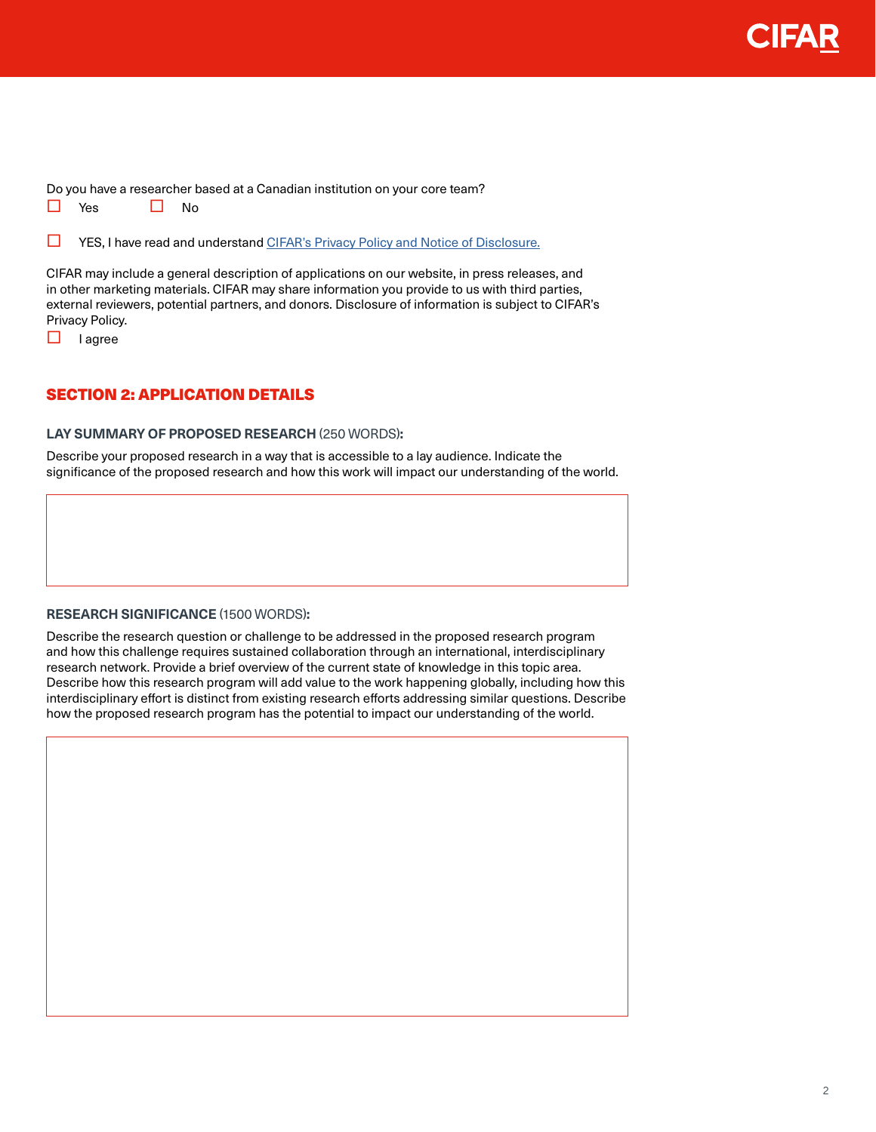

Do you have a researcher based at a Canadian institution on your core team?

 $\Box$  Yes  $\Box$  No

**T** YES, I have read and understand [CIFAR's Privacy Policy and Notice of Disclosure.](https://cifar.ca/privacy/)

CIFAR may include a general description of applications on our website, in press releases, and in other marketing materials. CIFAR may share information you provide to us with third parties, external reviewers, potential partners, and donors. Disclosure of information is subject to CIFAR's Privacy Policy.

 $\Box$  lagree

## SECTION 2: APPLICATION DETAILS

#### **LAY SUMMARY OF PROPOSED RESEARCH** (250 WORDS)**:**

Describe your proposed research in a way that is accessible to a lay audience. Indicate the significance of the proposed research and how this work will impact our understanding of the world.

#### **RESEARCH SIGNIFICANCE** (1500 WORDS)**:**

Describe the research question or challenge to be addressed in the proposed research program and how this challenge requires sustained collaboration through an international, interdisciplinary research network. Provide a brief overview of the current state of knowledge in this topic area. Describe how this research program will add value to the work happening globally, including how this interdisciplinary effort is distinct from existing research efforts addressing similar questions. Describe how the proposed research program has the potential to impact our understanding of the world.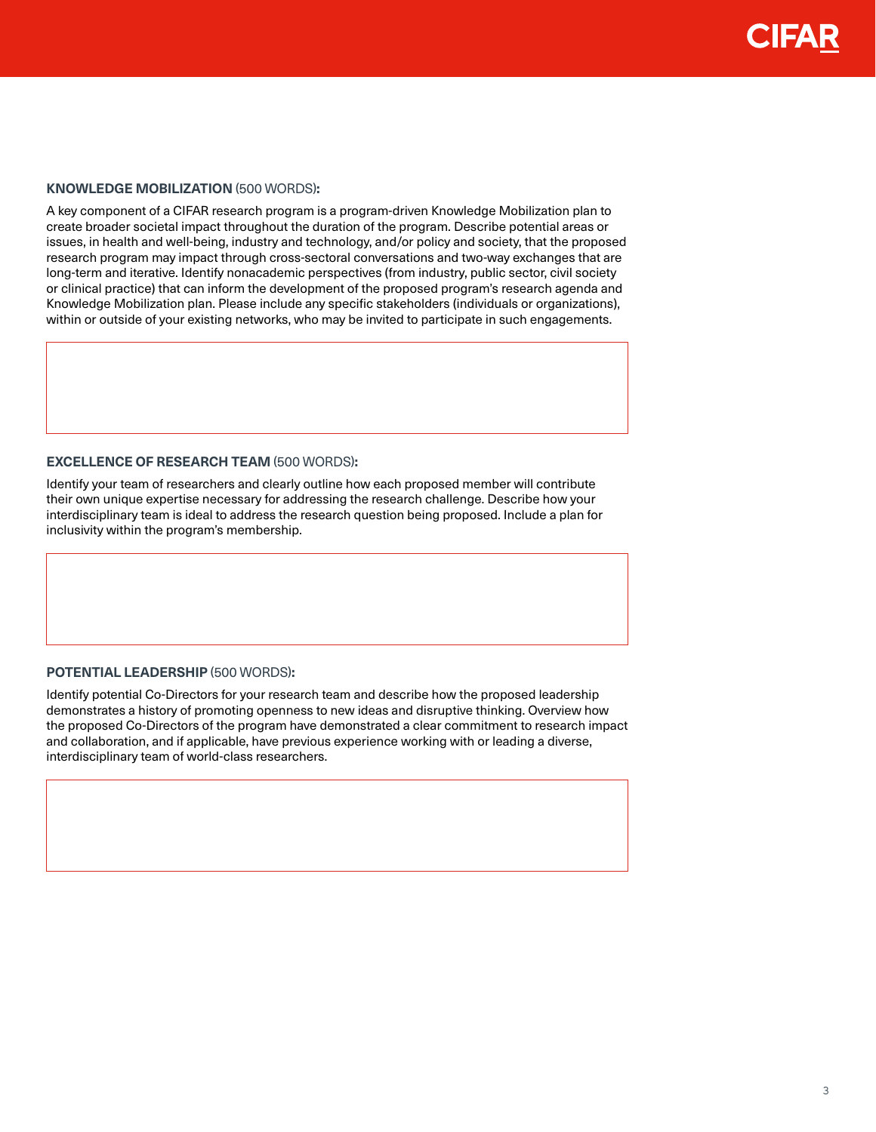### **KNOWLEDGE MOBILIZATION** (500 WORDS)**:**

A key component of a CIFAR research program is a program-driven Knowledge Mobilization plan to create broader societal impact throughout the duration of the program. Describe potential areas or issues, in health and well-being, industry and technology, and/or policy and society, that the proposed research program may impact through cross-sectoral conversations and two-way exchanges that are long-term and iterative. Identify nonacademic perspectives (from industry, public sector, civil society or clinical practice) that can inform the development of the proposed program's research agenda and Knowledge Mobilization plan. Please include any specific stakeholders (individuals or organizations), within or outside of your existing networks, who may be invited to participate in such engagements.

#### **EXCELLENCE OF RESEARCH TEAM** (500 WORDS)**:**

Identify your team of researchers and clearly outline how each proposed member will contribute their own unique expertise necessary for addressing the research challenge. Describe how your interdisciplinary team is ideal to address the research question being proposed. Include a plan for inclusivity within the program's membership.

#### **POTENTIAL LEADERSHIP** (500 WORDS)**:**

Identify potential Co-Directors for your research team and describe how the proposed leadership demonstrates a history of promoting openness to new ideas and disruptive thinking. Overview how the proposed Co-Directors of the program have demonstrated a clear commitment to research impact and collaboration, and if applicable, have previous experience working with or leading a diverse, interdisciplinary team of world-class researchers.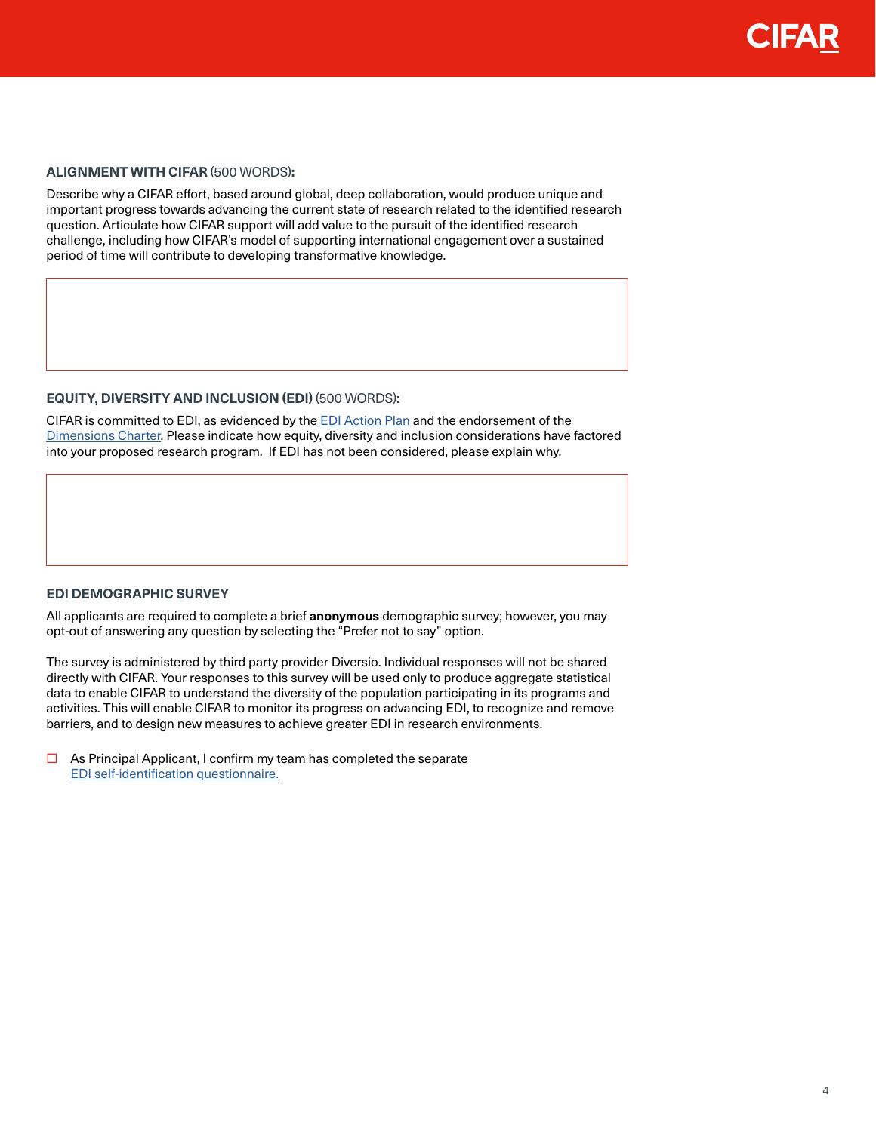#### **ALIGNMENT WITH CIFAR** (500 WORDS)**:**

Describe why a CIFAR effort, based around global, deep collaboration, would produce unique and important progress towards advancing the current state of research related to the identified research question. Articulate how CIFAR support will add value to the pursuit of the identified research challenge, including how CIFAR's model of supporting international engagement over a sustained period of time will contribute to developing transformative knowledge.

#### **EQUITY, DIVERSITY AND INCLUSION (EDI)** (500 WORDS)**:**

CIFAR is committed to EDI, as evidenced by the [EDI Action Plan](https://cifar.ca/wp-content/uploads/2021/03/CIFAR-EDI-Action-Plan-2020.pdf) and the endorsement of the [Dimensions Charter](https://www.nserc-crsng.gc.ca/NSERC-CRSNG/EDI-EDI/Dimensions_Dimensions_eng.asp). Please indicate how equity, diversity and inclusion considerations have factored into your proposed research program. If EDI has not been considered, please explain why.

#### **EDI DEMOGRAPHIC SURVEY**

All applicants are required to complete a brief **anonymous** demographic survey; however, you may opt-out of answering any question by selecting the "Prefer not to say" option.

The survey is administered by third party provider Diversio. Individual responses will not be shared directly with CIFAR. Your responses to this survey will be used only to produce aggregate statistical data to enable CIFAR to understand the diversity of the population participating in its programs and activities. This will enable CIFAR to monitor its progress on advancing EDI, to recognize and remove barriers, and to design new measures to achieve greater EDI in research environments.

 $\Box$  As Principal Applicant, I confirm my team has completed the separate [EDI self-identification questionnaire.](https://ca.research.net/r/355FQRB)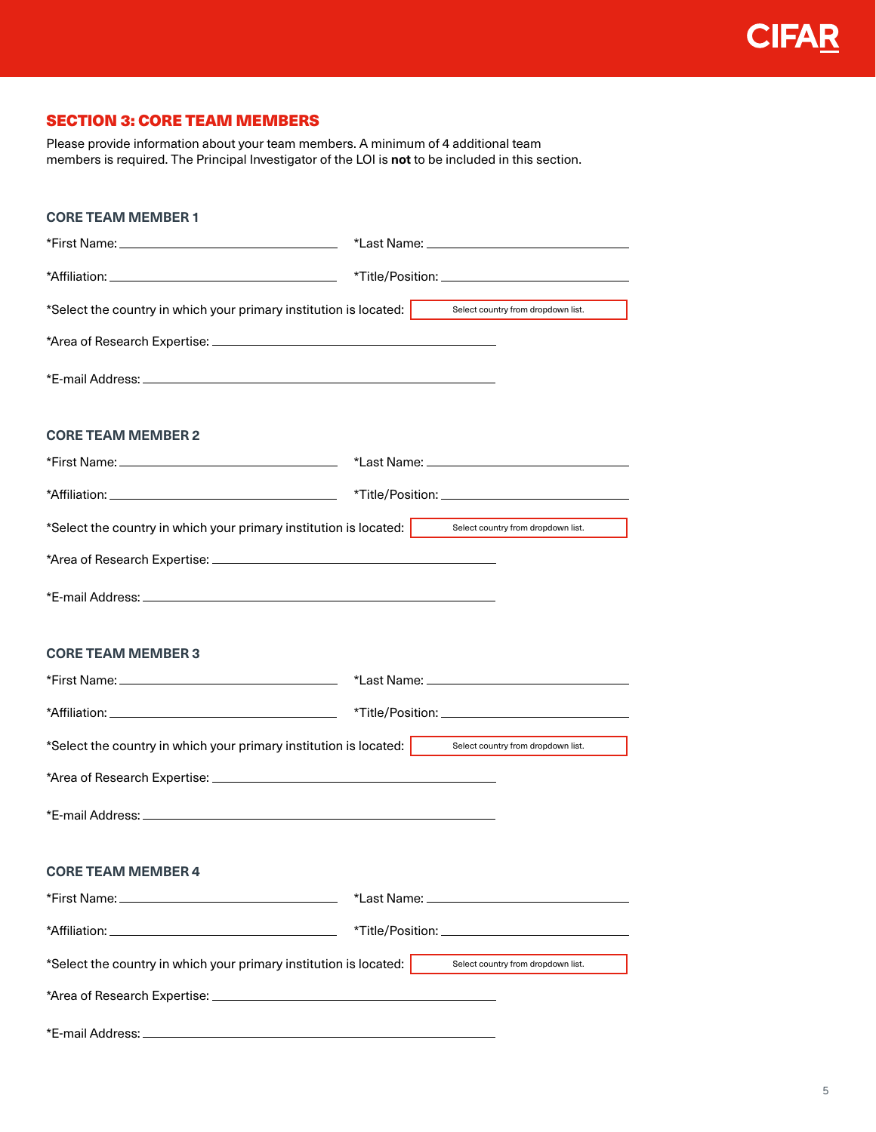# SECTION 3: CORE TEAM MEMBERS

Please provide information about your team members. A minimum of 4 additional team members is required. The Principal Investigator of the LOI is **not** to be included in this section.

| <b>CORE TEAM MEMBER 1</b>                                                                            |                                    |
|------------------------------------------------------------------------------------------------------|------------------------------------|
|                                                                                                      |                                    |
|                                                                                                      |                                    |
| *Select the country in which your primary institution is located:                                    | Select country from dropdown list. |
|                                                                                                      |                                    |
|                                                                                                      |                                    |
|                                                                                                      |                                    |
| <b>CORE TEAM MEMBER 2</b>                                                                            |                                    |
|                                                                                                      |                                    |
|                                                                                                      |                                    |
| *Select the country in which your primary institution is located: select country from dropdown list. |                                    |
|                                                                                                      |                                    |
|                                                                                                      |                                    |
|                                                                                                      |                                    |
| <b>CORE TEAM MEMBER 3</b>                                                                            |                                    |
|                                                                                                      |                                    |
|                                                                                                      |                                    |
| *Select the country in which your primary institution is located:                                    | Select country from dropdown list. |
|                                                                                                      |                                    |
|                                                                                                      |                                    |
|                                                                                                      |                                    |
| <b>CORE TEAM MEMBER 4</b>                                                                            |                                    |
|                                                                                                      |                                    |
|                                                                                                      |                                    |
| *Select the country in which your primary institution is located:                                    | Select country from dropdown list. |
|                                                                                                      |                                    |
|                                                                                                      |                                    |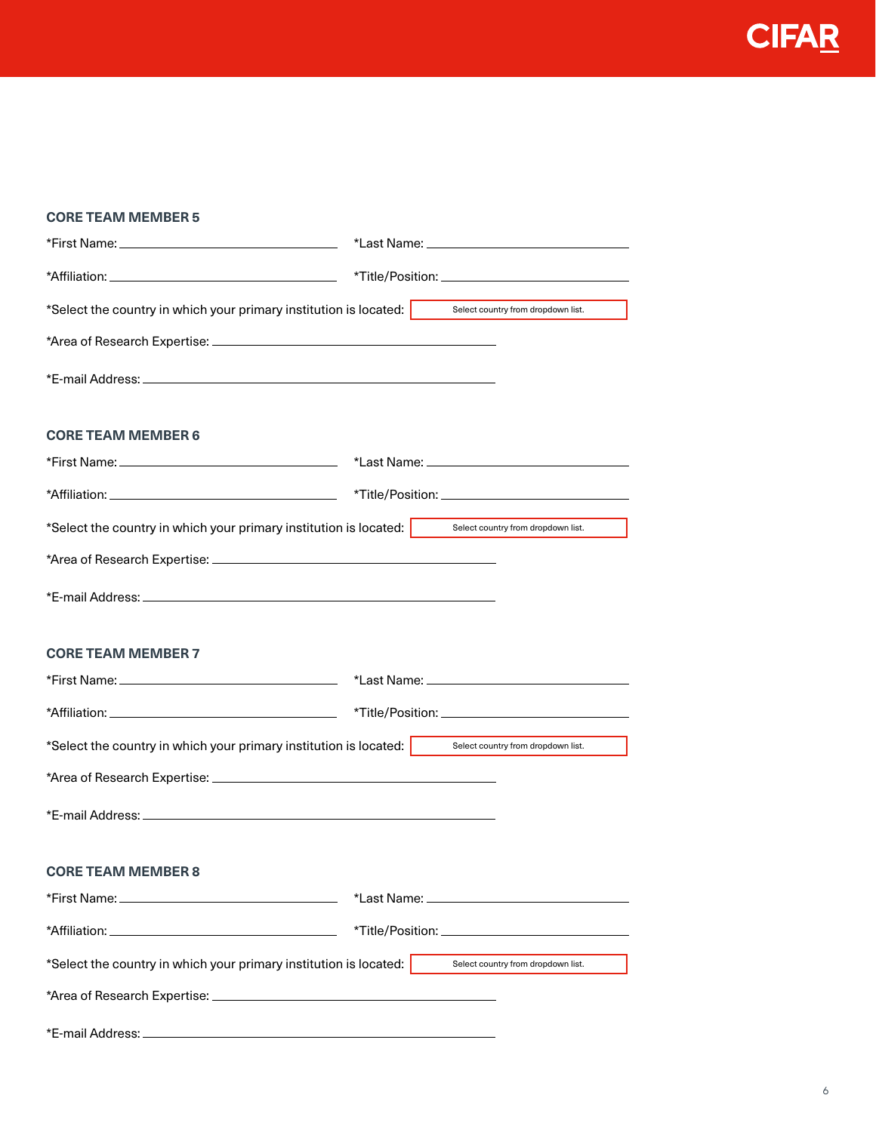**CIFAR** 

| <b>CORE TEAM MEMBER 5</b>                                         |                                    |  |
|-------------------------------------------------------------------|------------------------------------|--|
|                                                                   |                                    |  |
|                                                                   |                                    |  |
| *Select the country in which your primary institution is located: | Select country from dropdown list. |  |
|                                                                   |                                    |  |
|                                                                   |                                    |  |
| <b>CORE TEAM MEMBER 6</b>                                         |                                    |  |
|                                                                   |                                    |  |
|                                                                   |                                    |  |
| *Select the country in which your primary institution is located: | Select country from dropdown list. |  |
|                                                                   |                                    |  |
|                                                                   |                                    |  |
|                                                                   |                                    |  |
| <b>CORE TEAM MEMBER 7</b>                                         |                                    |  |
|                                                                   |                                    |  |
|                                                                   |                                    |  |
| *Select the country in which your primary institution is located: | Select country from dropdown list. |  |
|                                                                   |                                    |  |
|                                                                   |                                    |  |
|                                                                   |                                    |  |
| <b>CORE TEAM MEMBER 8</b>                                         |                                    |  |
|                                                                   |                                    |  |
|                                                                   |                                    |  |
| *Select the country in which your primary institution is located: | Select country from dropdown list. |  |
|                                                                   |                                    |  |
|                                                                   |                                    |  |
|                                                                   |                                    |  |